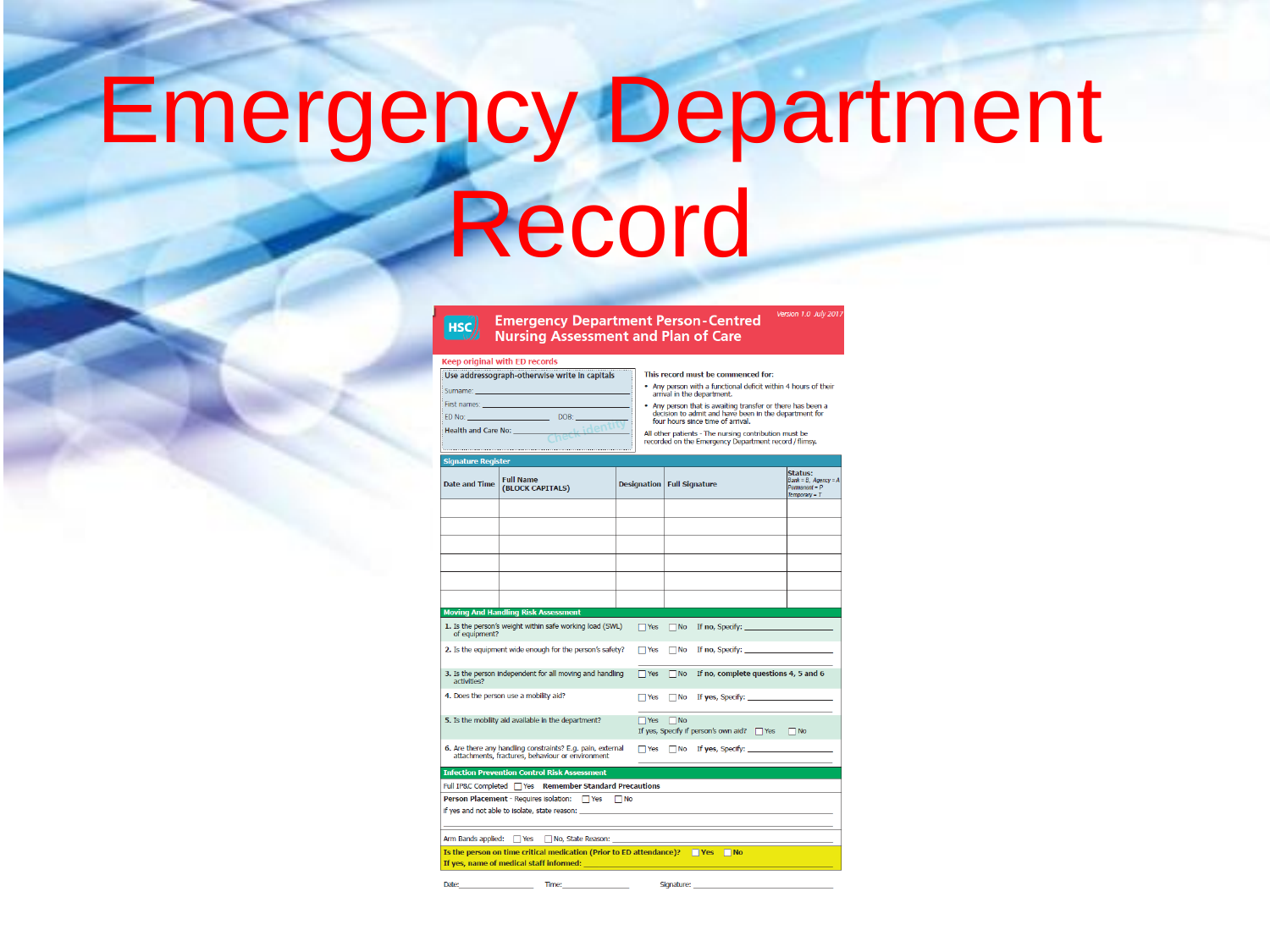# **Emergency Department** Record

#### **Emergency Department Person-Centred** HSC) **Nursing Assessment and Plan of Care**

#### **Keep original with ED records**

| Use addressograph-otherwise write in capitals |
|-----------------------------------------------|
|                                               |
|                                               |
| DOB:                                          |
|                                               |
|                                               |
|                                               |

Time:

This record must be commenced for:

. Any person with a functional deficit within 4 hours of their arrival in the department.

Version 1.0 July 201

• Any person that is awaiting transfer or there has been a<br>decision to admit and have been in the department for four hours since time of arrival.

All other patients - The nursing contribution must be recorded on the Emergency Department record / flimsy.

| <b>Signature Register</b>                                                                                                                                                                                                            |                                                                                                                |                                     |                      |                                                                                                                                                                                                                                |                                                                       |
|--------------------------------------------------------------------------------------------------------------------------------------------------------------------------------------------------------------------------------------|----------------------------------------------------------------------------------------------------------------|-------------------------------------|----------------------|--------------------------------------------------------------------------------------------------------------------------------------------------------------------------------------------------------------------------------|-----------------------------------------------------------------------|
| <b>Date and Time</b>                                                                                                                                                                                                                 | <b>Full Name</b><br>(BLOCK CAPITALS)                                                                           | <b>Designation   Full Signature</b> |                      |                                                                                                                                                                                                                                | Status:<br>Bank = B, Agency = A<br>$Pemnant = P$<br>$Temperature - T$ |
|                                                                                                                                                                                                                                      |                                                                                                                |                                     |                      |                                                                                                                                                                                                                                |                                                                       |
|                                                                                                                                                                                                                                      |                                                                                                                |                                     |                      |                                                                                                                                                                                                                                |                                                                       |
|                                                                                                                                                                                                                                      |                                                                                                                |                                     |                      |                                                                                                                                                                                                                                |                                                                       |
|                                                                                                                                                                                                                                      |                                                                                                                |                                     |                      |                                                                                                                                                                                                                                |                                                                       |
|                                                                                                                                                                                                                                      |                                                                                                                |                                     |                      |                                                                                                                                                                                                                                |                                                                       |
|                                                                                                                                                                                                                                      |                                                                                                                |                                     |                      |                                                                                                                                                                                                                                |                                                                       |
|                                                                                                                                                                                                                                      | <b>Moving And Handling Risk Assessment</b>                                                                     |                                     |                      |                                                                                                                                                                                                                                |                                                                       |
| of equipment?                                                                                                                                                                                                                        | 1. Is the person's weight within safe working load (SWL)                                                       | $\Box$ Yes                          |                      | No If no, Specify:                                                                                                                                                                                                             |                                                                       |
|                                                                                                                                                                                                                                      | 2. Is the equipment wide enough for the person's safety?                                                       | $\Box$ Yes                          | $\Box$ No            | If no, Specify: The contract of the contract of the contract of the contract of the contract of the contract of the contract of the contract of the contract of the contract of the contract of the contract of the contract o |                                                                       |
| 3. Is the person independent for all moving and handling<br>activities?                                                                                                                                                              |                                                                                                                |                                     | $\n  No\n$           | If no, complete questions 4, 5 and 6                                                                                                                                                                                           |                                                                       |
|                                                                                                                                                                                                                                      | 4. Does the person use a mobility aid?                                                                         | $\Box$ Yes                          | $\Box$ No            | If yes. Specify: The contract of the state of the state of the state of the state of the state of the state of the state of the state of the state of the state of the state of the state of the state of the state of the sta |                                                                       |
|                                                                                                                                                                                                                                      | 5. Is the mobility aid available in the department?                                                            |                                     | $\Box$ Yes $\Box$ No | If yes, Specify if person's own aid? PYes PNo                                                                                                                                                                                  |                                                                       |
|                                                                                                                                                                                                                                      | 6. Are there any handling constraints? E.g. pain, external<br>attachments, fractures, behaviour or environment | $\Box$ Yes                          |                      | $\Box$ No If yes, Specify:                                                                                                                                                                                                     |                                                                       |
| <b>Infection Prevention Control Risk Assessment</b>                                                                                                                                                                                  |                                                                                                                |                                     |                      |                                                                                                                                                                                                                                |                                                                       |
| Full IP&C Completed   Yes Remember Standard Precautions                                                                                                                                                                              |                                                                                                                |                                     |                      |                                                                                                                                                                                                                                |                                                                       |
| Person Placement - Requires isolation: TYes TINo                                                                                                                                                                                     |                                                                                                                |                                     |                      |                                                                                                                                                                                                                                |                                                                       |
| if yes and not able to isolate, state reason: example and a state of the state of the state of the state of the                                                                                                                      |                                                                                                                |                                     |                      |                                                                                                                                                                                                                                |                                                                       |
| Arm Bands applied: Nes No, State Reason: 1996                                                                                                                                                                                        |                                                                                                                |                                     |                      |                                                                                                                                                                                                                                |                                                                       |
| Is the person on time critical medication (Prior to ED attendance)? $\Box$ Yes $\Box$ No                                                                                                                                             |                                                                                                                |                                     |                      |                                                                                                                                                                                                                                |                                                                       |
| If yes, name of medical staff informed: <b>with a state of the state of the state of the state of the state of the state of the state of the state of the state of the state of the state of the state of the state of the state</b> |                                                                                                                |                                     |                      |                                                                                                                                                                                                                                |                                                                       |

Signature: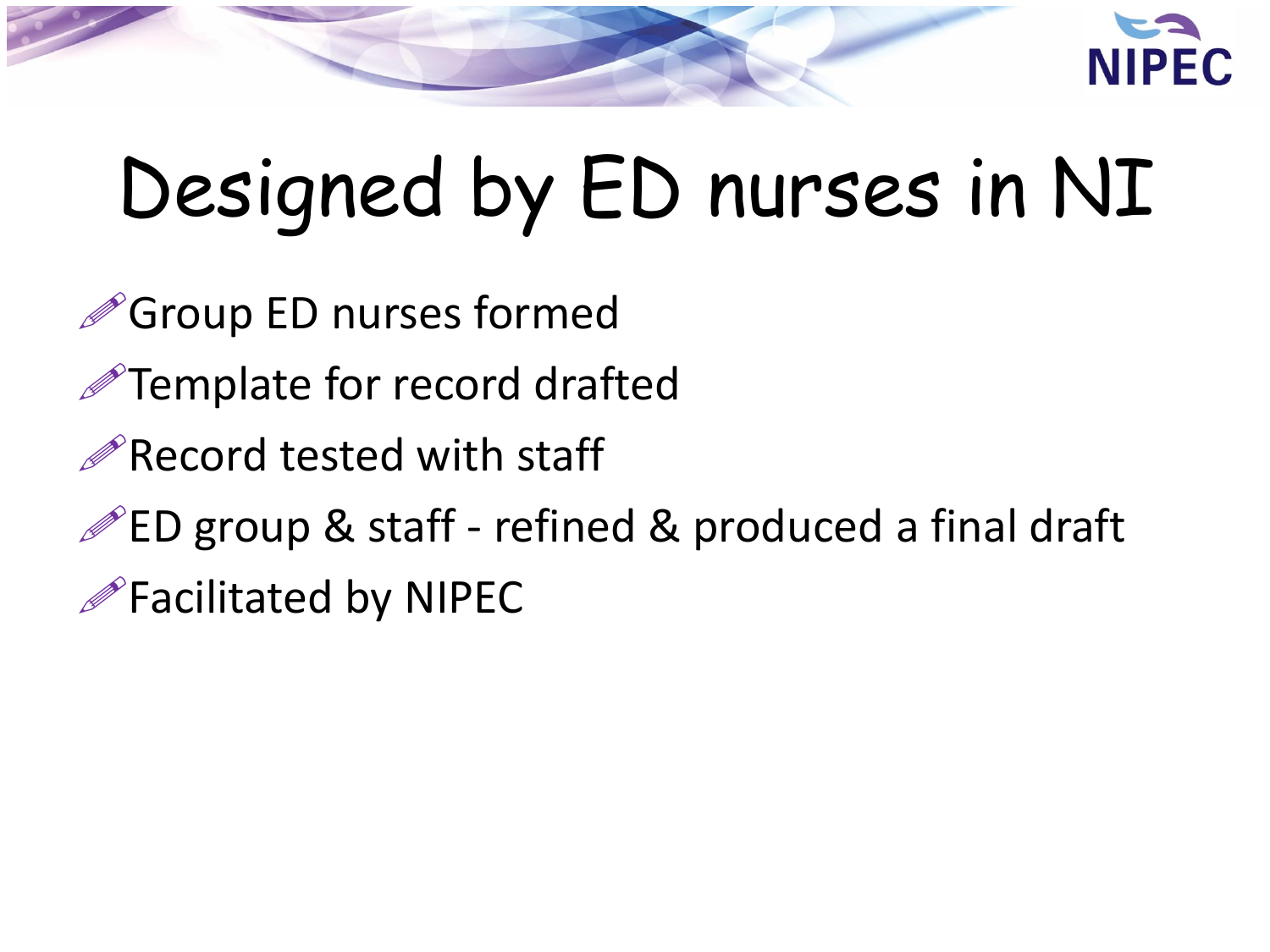

# Designed by ED nurses in NI

Group ED nurses formed

Template for record drafted

Record tested with staff

 $\mathscr{P}$ ED group & staff - refined & produced a final draft

Facilitated by NIPEC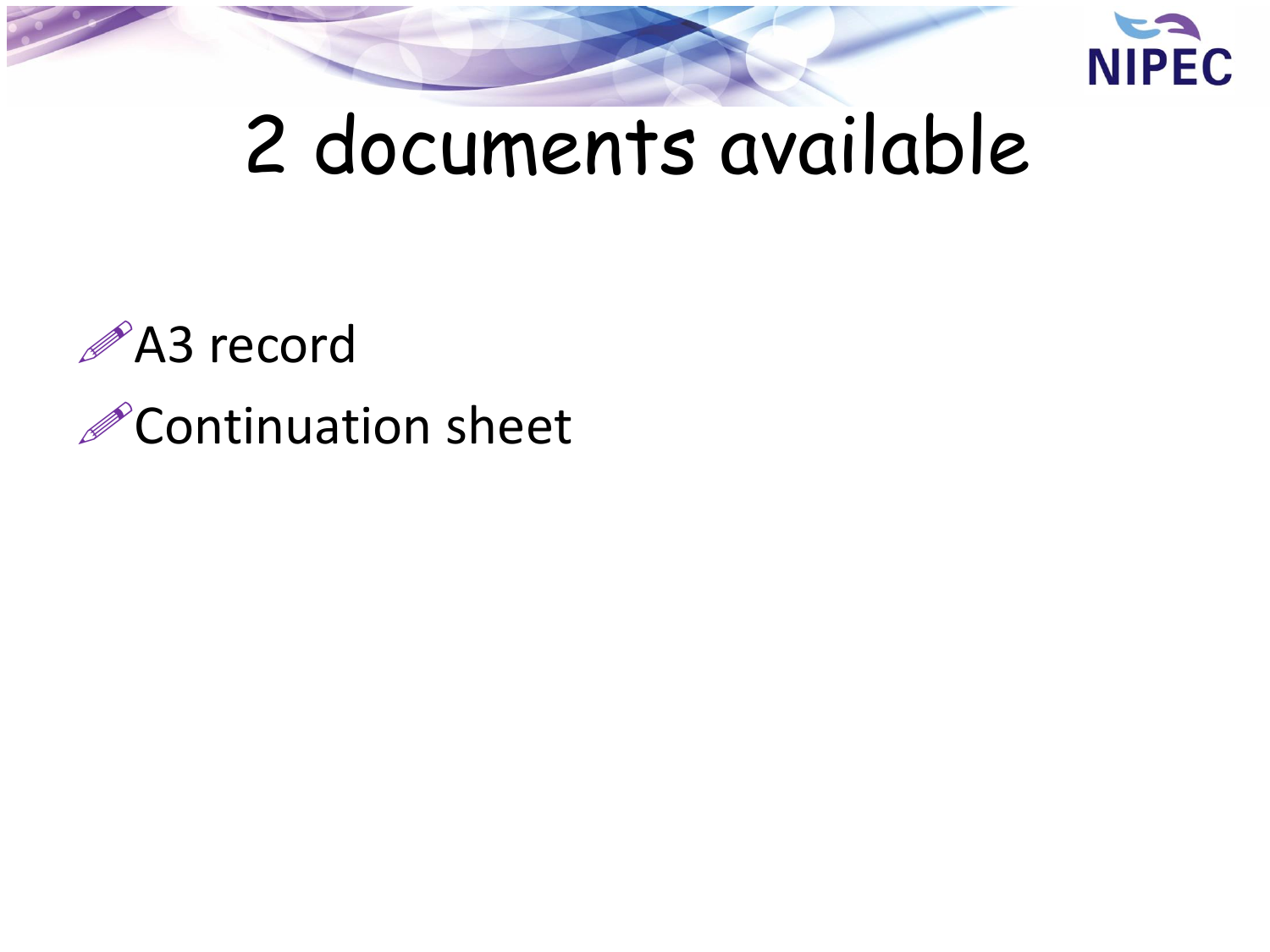

## 2 documents available

### A3 record *C*ontinuation sheet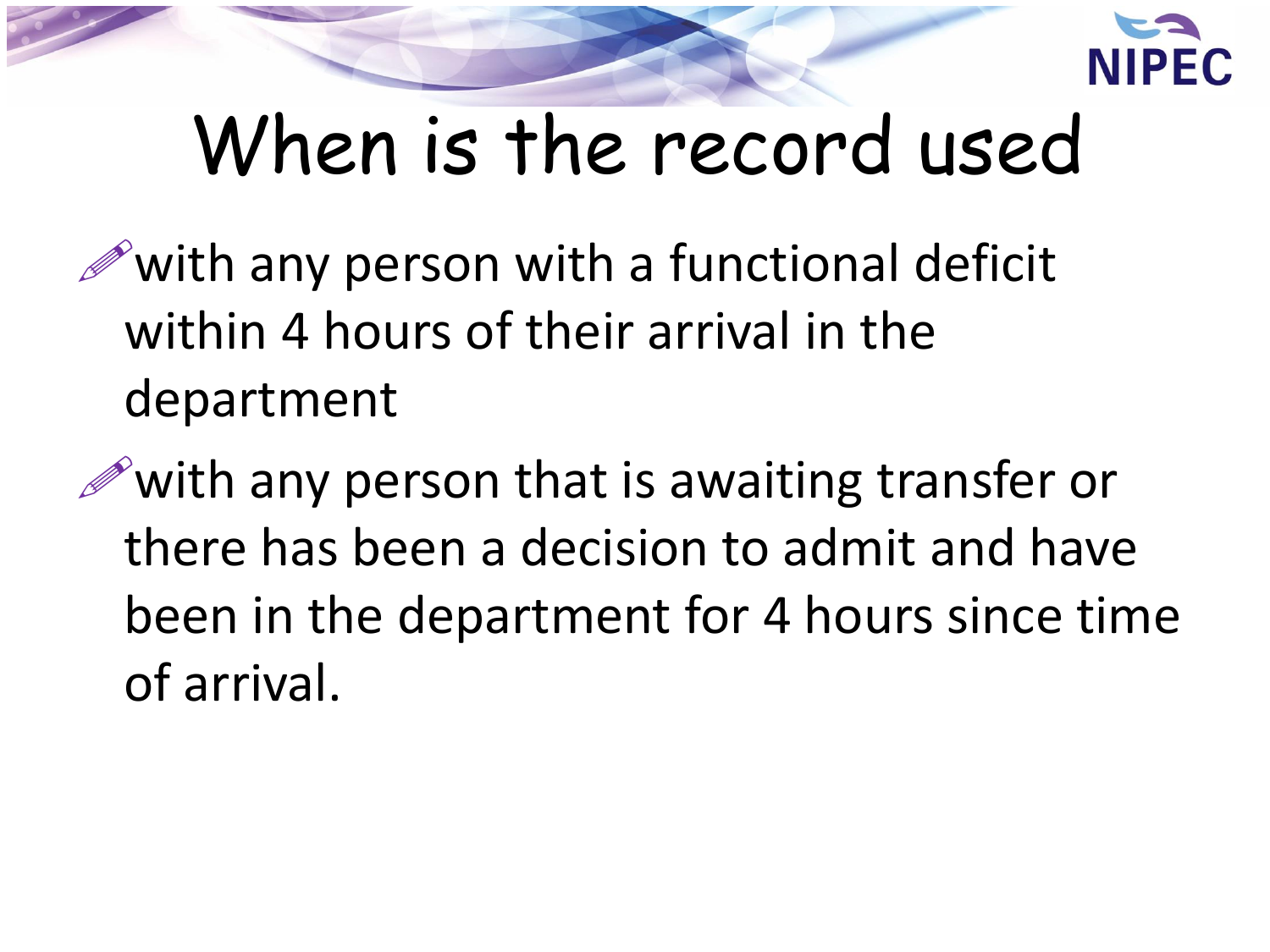

## When is the record used

 $\mathscr{P}$  with any person with a functional deficit within 4 hours of their arrival in the department

 $\mathscr{P}$  with any person that is awaiting transfer or there has been a decision to admit and have been in the department for 4 hours since time of arrival.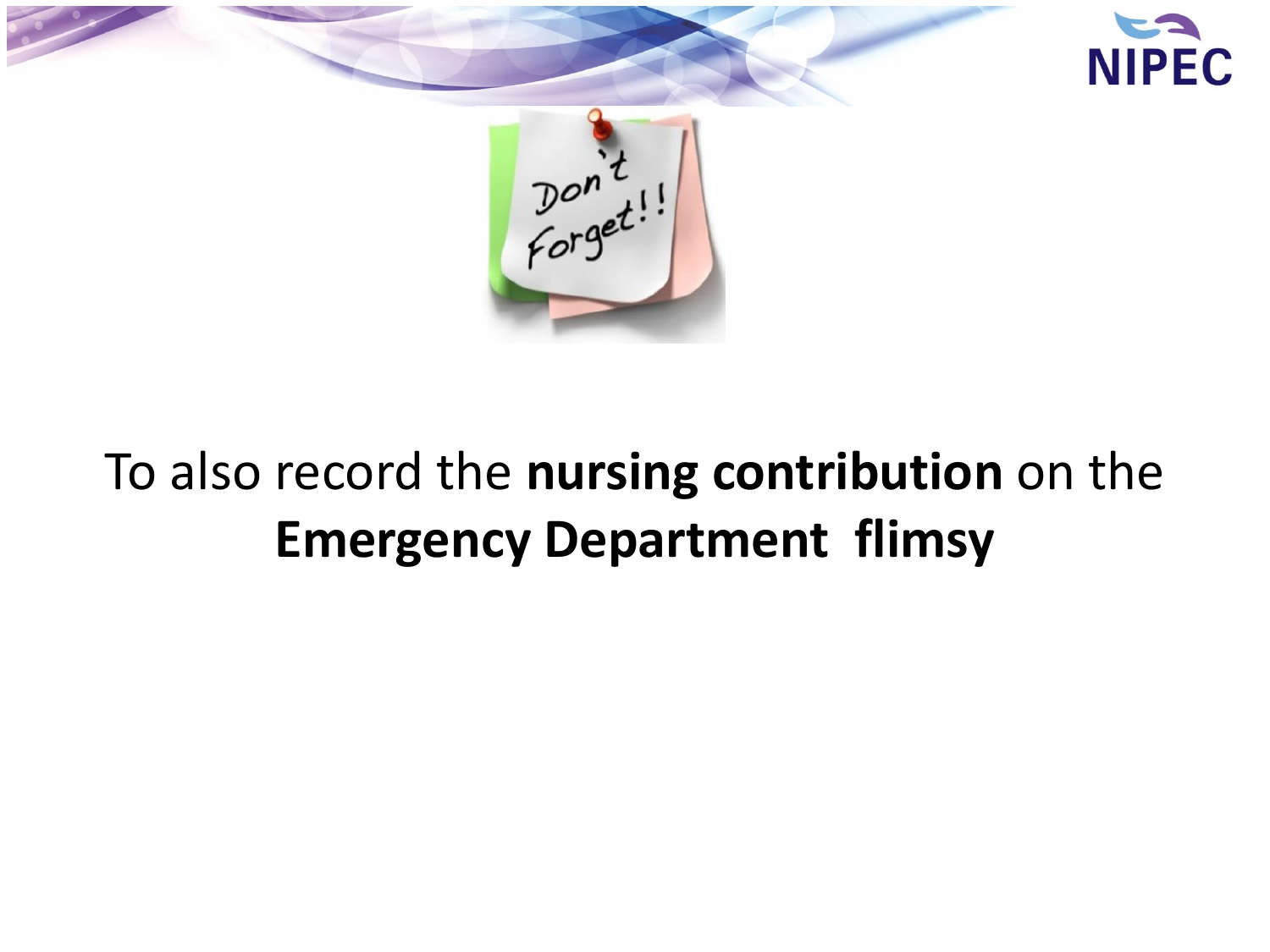

#### To also record the **nursing contribution** on the **Emergency Department flimsy**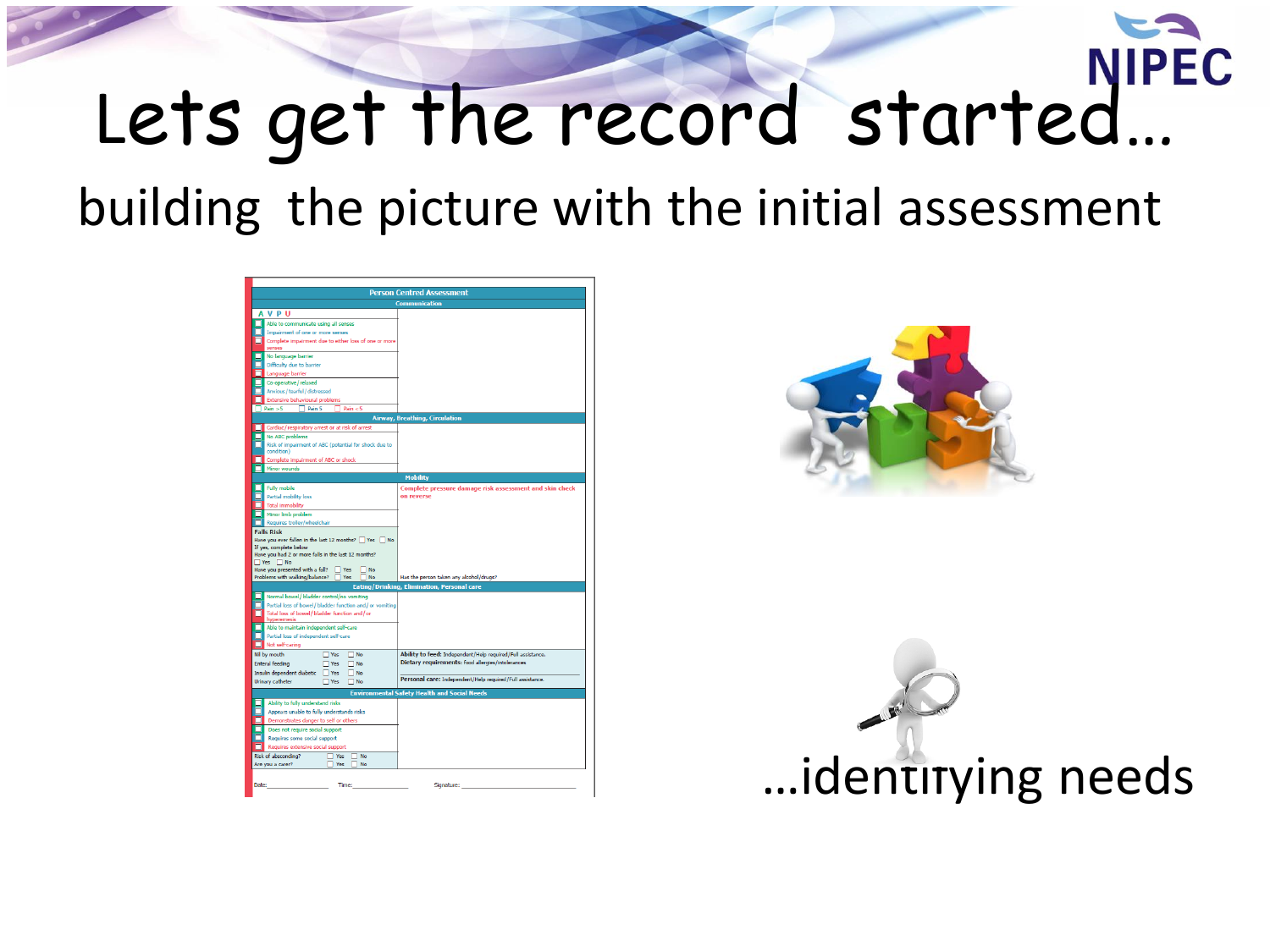#### **NIPEC** Lets get the record started...

building the picture with the initial assessment





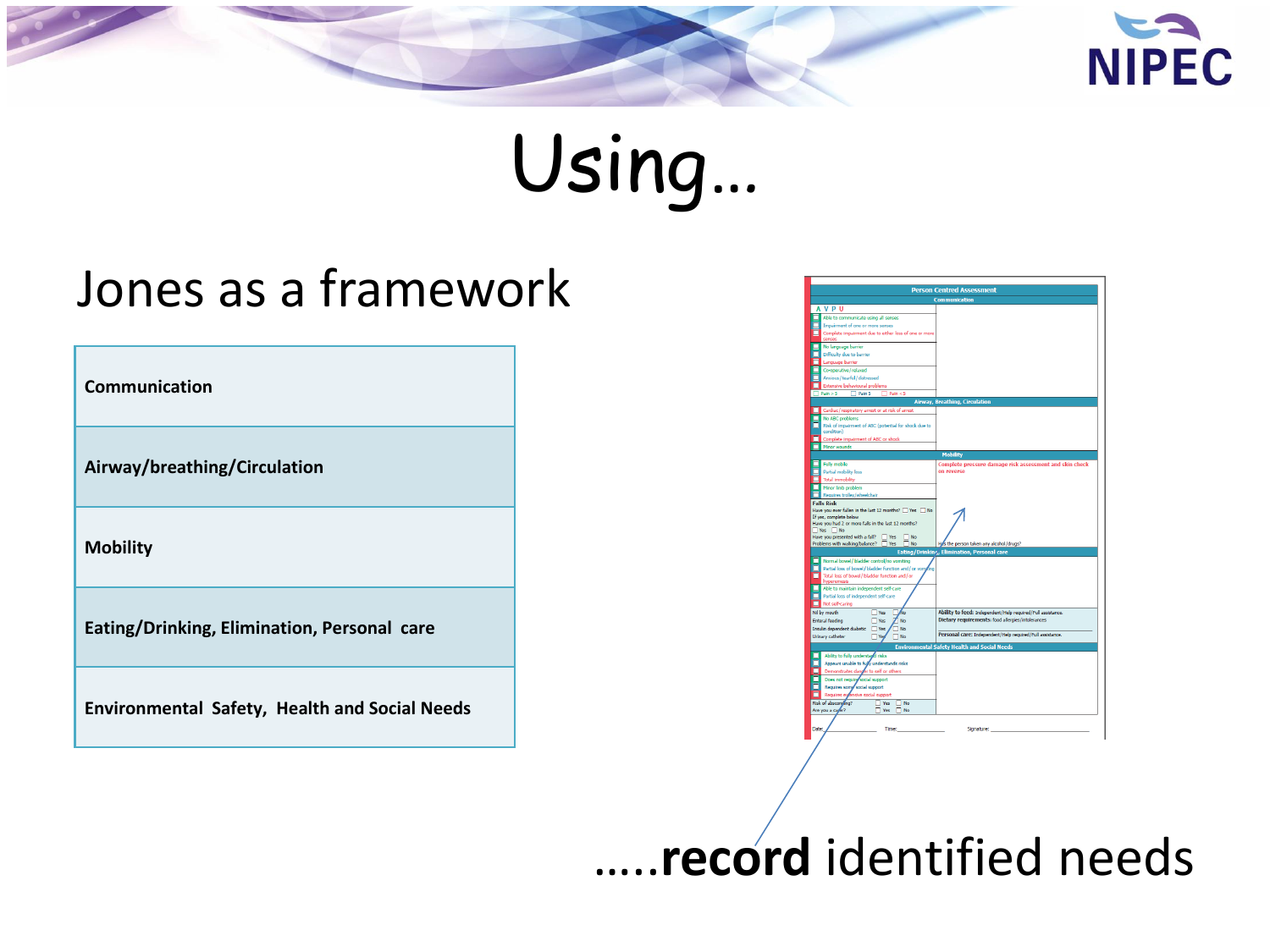



#### Jones as a framework

Communication

Airway/breathing/Circulation

**Mobility** 

Eating/Drinking, Elimination, Personal care

Environmental Safety, Health and Social Needs

| <b>Person Centred Assessment</b>                                                                                          |                                                             |  |  |  |
|---------------------------------------------------------------------------------------------------------------------------|-------------------------------------------------------------|--|--|--|
|                                                                                                                           | <b>Communication</b>                                        |  |  |  |
| <b>AVPU</b>                                                                                                               |                                                             |  |  |  |
| Able to communicate using all senses                                                                                      |                                                             |  |  |  |
| Impairment of one or more senses                                                                                          |                                                             |  |  |  |
| Complete impairment due to either loss of one or more<br>senses                                                           |                                                             |  |  |  |
| No language barrier                                                                                                       |                                                             |  |  |  |
| Difficulty due to barrier                                                                                                 |                                                             |  |  |  |
| Language barrier<br>L.                                                                                                    |                                                             |  |  |  |
| Co-operative / relaxed<br>п                                                                                               |                                                             |  |  |  |
| Anxious / tearful / distressed                                                                                            |                                                             |  |  |  |
| Extensive behavioural problems                                                                                            |                                                             |  |  |  |
| Pain > 5<br>$\Box$ Pain 5<br>$\Box$ Pain <5                                                                               |                                                             |  |  |  |
|                                                                                                                           | Airway, Breathing, Circulation                              |  |  |  |
| Cardiac / respiratory arrest or at risk of arrest                                                                         |                                                             |  |  |  |
| No ABC problems                                                                                                           |                                                             |  |  |  |
| Risk of impairment of ABC (potential for shock due to                                                                     |                                                             |  |  |  |
| condition)                                                                                                                |                                                             |  |  |  |
| Complete impairment of ABC or shock                                                                                       |                                                             |  |  |  |
| Minor wounds                                                                                                              |                                                             |  |  |  |
|                                                                                                                           | <b>Mobility</b>                                             |  |  |  |
| <b>Fully mobile</b>                                                                                                       | Complete pressure damage risk assessment and skin check     |  |  |  |
| Partial mobility loss                                                                                                     | on reverse                                                  |  |  |  |
| <b>Total immobility</b><br>п                                                                                              |                                                             |  |  |  |
| Minor limb problem<br>Requires trolley/wheelchair                                                                         |                                                             |  |  |  |
| <b>Falls Risk</b>                                                                                                         |                                                             |  |  |  |
|                                                                                                                           |                                                             |  |  |  |
| Have you had 2 or more falls in the last 12 months?<br>$\n  Yes W o$<br>Have you presented with a fall? Thes<br>$\Box$ No |                                                             |  |  |  |
| Problems with walking/balance? Tes<br>$\Box$ No                                                                           | Hus the person taken any alcohol/drugs?                     |  |  |  |
|                                                                                                                           | Eating/Drinkinr,, Elimination, Personal care                |  |  |  |
| Normal bowel/bladder control/no vomiting<br>г                                                                             |                                                             |  |  |  |
| Partial loss of bowel / bladder function and / or von<br>Total loss of bowel / bladder function and / or                  |                                                             |  |  |  |
| hyperemesis                                                                                                               |                                                             |  |  |  |
| Able to maintain independent self-care                                                                                    |                                                             |  |  |  |
| Partial loss of independent self-care                                                                                     |                                                             |  |  |  |
| Not self-caring                                                                                                           |                                                             |  |  |  |
| Nil by mouth<br>$\Box$ Yes<br>Áю                                                                                          | Ability to feed: Independent/Help required/Full assistance. |  |  |  |
| <b>Enteral feeding</b><br>$\Box$ Yes<br>7 No                                                                              | Dietary requirements: food allergies/intolerances           |  |  |  |
| <b>No</b><br>$\Box$ Yes                                                                                                   |                                                             |  |  |  |
| Insulin dependent diabetic<br>Urinary catheter<br>$\Box$ Yes<br>$\Box$ No                                                 | Personal care: Independent/Help required/Full assistance.   |  |  |  |
|                                                                                                                           | <b>Environmental Safety Health and Social Needs</b>         |  |  |  |
| Ability to fully understage risks                                                                                         |                                                             |  |  |  |
| Appears unable to fully understands risks                                                                                 |                                                             |  |  |  |
| Demonstrates danger to self or others<br>п                                                                                |                                                             |  |  |  |
| Does not require social support                                                                                           |                                                             |  |  |  |
| Requires some social support                                                                                              |                                                             |  |  |  |
| Requires extensive social support                                                                                         |                                                             |  |  |  |
| Risk of absconding?<br>Yes<br><b>No</b>                                                                                   |                                                             |  |  |  |
| Are you a caper?<br>$\n  N$<br>$\Box$ Yes                                                                                 |                                                             |  |  |  |
| Date:<br>Time:                                                                                                            | Signature:                                                  |  |  |  |

#### .record identified needs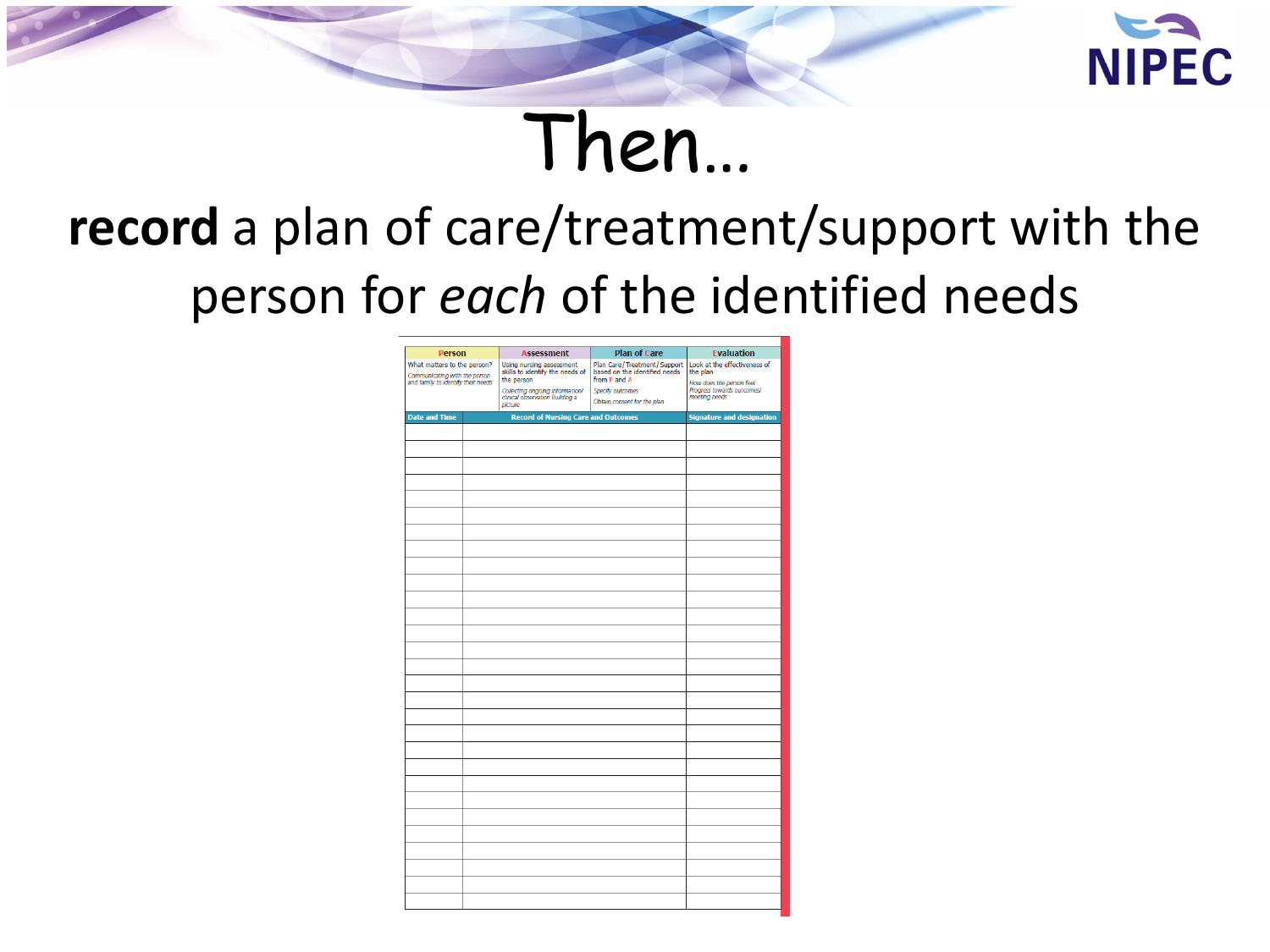

### Then...

### record a plan of care/treatment/support with the person for each of the identified needs

| <b>Person</b>                                                                                      |  | <b>Assessment</b>                                                             | <b>Plan of Care</b>                                                          | <b>Evaluation</b>                                       |  |
|----------------------------------------------------------------------------------------------------|--|-------------------------------------------------------------------------------|------------------------------------------------------------------------------|---------------------------------------------------------|--|
| What matters to the person?<br>Communicating with the person<br>and family to identify their needs |  | Using nursing assessment<br>skills to identify the needs of<br>the person     | Plan Care/Treatment/Support<br>based on the identified needs<br>from P and A | Look at the effectiveness of<br>the plan                |  |
|                                                                                                    |  |                                                                               |                                                                              | How does the person feel.<br>Progress towards outcomes! |  |
|                                                                                                    |  | Collecting ongoing information/<br>clinical observation Building a<br>picture | Specify outcomes<br>Obtain consent for the plan                              | meeting needs                                           |  |
| <b>Date and Time</b>                                                                               |  | <b>Record of Nursing Care and Outcomes</b>                                    |                                                                              | <b>Signature and designation</b>                        |  |
|                                                                                                    |  |                                                                               |                                                                              |                                                         |  |
|                                                                                                    |  |                                                                               |                                                                              |                                                         |  |
|                                                                                                    |  |                                                                               |                                                                              |                                                         |  |
|                                                                                                    |  |                                                                               |                                                                              |                                                         |  |
|                                                                                                    |  |                                                                               |                                                                              |                                                         |  |
|                                                                                                    |  |                                                                               |                                                                              |                                                         |  |
|                                                                                                    |  |                                                                               |                                                                              |                                                         |  |
|                                                                                                    |  |                                                                               |                                                                              |                                                         |  |
|                                                                                                    |  |                                                                               |                                                                              |                                                         |  |
|                                                                                                    |  |                                                                               |                                                                              |                                                         |  |
|                                                                                                    |  |                                                                               |                                                                              |                                                         |  |
|                                                                                                    |  |                                                                               |                                                                              |                                                         |  |
|                                                                                                    |  |                                                                               |                                                                              |                                                         |  |
|                                                                                                    |  |                                                                               |                                                                              |                                                         |  |
|                                                                                                    |  |                                                                               |                                                                              |                                                         |  |
|                                                                                                    |  |                                                                               |                                                                              |                                                         |  |
|                                                                                                    |  |                                                                               |                                                                              |                                                         |  |
|                                                                                                    |  |                                                                               |                                                                              |                                                         |  |
|                                                                                                    |  |                                                                               |                                                                              |                                                         |  |
|                                                                                                    |  |                                                                               |                                                                              |                                                         |  |
|                                                                                                    |  |                                                                               |                                                                              |                                                         |  |
|                                                                                                    |  |                                                                               |                                                                              |                                                         |  |
|                                                                                                    |  |                                                                               |                                                                              |                                                         |  |
|                                                                                                    |  |                                                                               |                                                                              |                                                         |  |
|                                                                                                    |  |                                                                               |                                                                              |                                                         |  |
|                                                                                                    |  |                                                                               |                                                                              |                                                         |  |
|                                                                                                    |  |                                                                               |                                                                              |                                                         |  |
|                                                                                                    |  |                                                                               |                                                                              |                                                         |  |
|                                                                                                    |  |                                                                               |                                                                              |                                                         |  |
|                                                                                                    |  |                                                                               |                                                                              |                                                         |  |
|                                                                                                    |  |                                                                               |                                                                              |                                                         |  |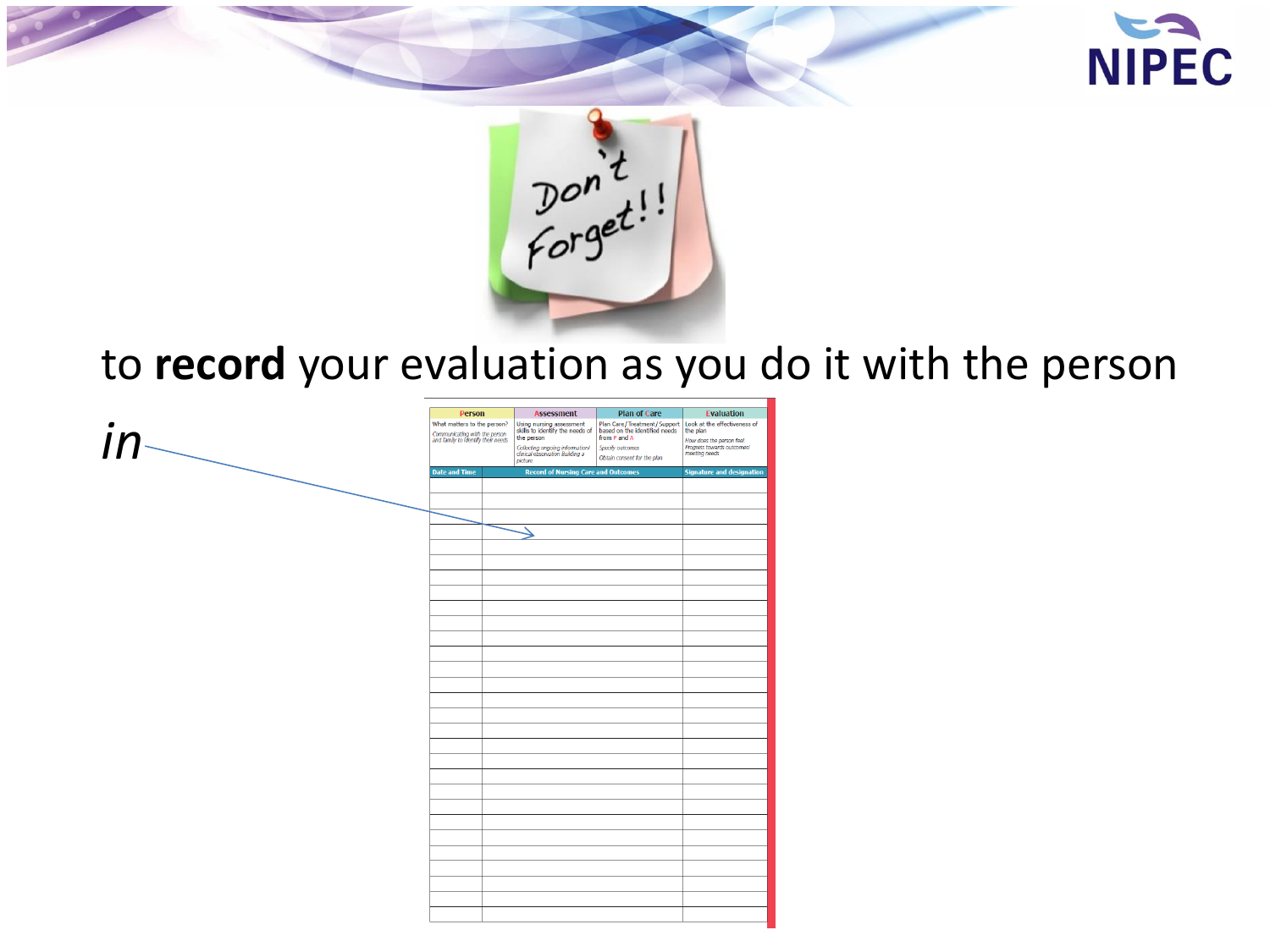



#### to **record** your evaluation as you do it with the person

|                  | <b>Person</b>                                                                                      | <b>Assessment</b>                                                                           | <b>Plan of Care</b>                                                                                                                                                                                                         | <b>Evaluation</b>                                                        |
|------------------|----------------------------------------------------------------------------------------------------|---------------------------------------------------------------------------------------------|-----------------------------------------------------------------------------------------------------------------------------------------------------------------------------------------------------------------------------|--------------------------------------------------------------------------|
| $in_{\text{--}}$ | What matters to the person?<br>Communicating with the person<br>and family to identify their needs | the person<br>Collecting ongoing information!<br>clinical observation Building a<br>picture | Using nursing assessment Plan Care/Treatment/Support Look at the effectiveness of skills to identify the needs of based on the identified needs the plan<br>from P and A<br>Specify outcomes<br>Obtain consent for the plan | How does the person feel.<br>Progress towards outcomes/<br>meeting needs |
|                  | <b>Date and Time</b>                                                                               | <b>Record of Nursing Care and Outcomes</b>                                                  |                                                                                                                                                                                                                             | <b>Signature and designation</b>                                         |
|                  |                                                                                                    |                                                                                             |                                                                                                                                                                                                                             |                                                                          |
|                  |                                                                                                    |                                                                                             |                                                                                                                                                                                                                             |                                                                          |
|                  |                                                                                                    |                                                                                             |                                                                                                                                                                                                                             |                                                                          |
|                  |                                                                                                    |                                                                                             |                                                                                                                                                                                                                             |                                                                          |
|                  |                                                                                                    |                                                                                             |                                                                                                                                                                                                                             |                                                                          |
|                  |                                                                                                    |                                                                                             |                                                                                                                                                                                                                             |                                                                          |
|                  |                                                                                                    |                                                                                             |                                                                                                                                                                                                                             |                                                                          |
|                  |                                                                                                    |                                                                                             |                                                                                                                                                                                                                             |                                                                          |
|                  |                                                                                                    |                                                                                             |                                                                                                                                                                                                                             |                                                                          |
|                  |                                                                                                    |                                                                                             |                                                                                                                                                                                                                             |                                                                          |
|                  |                                                                                                    |                                                                                             |                                                                                                                                                                                                                             |                                                                          |
|                  |                                                                                                    |                                                                                             |                                                                                                                                                                                                                             |                                                                          |
|                  |                                                                                                    |                                                                                             |                                                                                                                                                                                                                             |                                                                          |
|                  |                                                                                                    |                                                                                             |                                                                                                                                                                                                                             |                                                                          |
|                  |                                                                                                    |                                                                                             |                                                                                                                                                                                                                             |                                                                          |
|                  |                                                                                                    |                                                                                             |                                                                                                                                                                                                                             |                                                                          |
|                  |                                                                                                    |                                                                                             |                                                                                                                                                                                                                             |                                                                          |
|                  |                                                                                                    |                                                                                             |                                                                                                                                                                                                                             |                                                                          |
|                  |                                                                                                    |                                                                                             |                                                                                                                                                                                                                             |                                                                          |
|                  |                                                                                                    |                                                                                             |                                                                                                                                                                                                                             |                                                                          |
|                  |                                                                                                    |                                                                                             |                                                                                                                                                                                                                             |                                                                          |
|                  |                                                                                                    |                                                                                             |                                                                                                                                                                                                                             |                                                                          |
|                  |                                                                                                    |                                                                                             |                                                                                                                                                                                                                             |                                                                          |
|                  |                                                                                                    |                                                                                             |                                                                                                                                                                                                                             |                                                                          |
|                  |                                                                                                    |                                                                                             |                                                                                                                                                                                                                             |                                                                          |
|                  |                                                                                                    |                                                                                             |                                                                                                                                                                                                                             |                                                                          |
|                  |                                                                                                    |                                                                                             |                                                                                                                                                                                                                             |                                                                          |
|                  |                                                                                                    |                                                                                             |                                                                                                                                                                                                                             |                                                                          |
|                  |                                                                                                    |                                                                                             |                                                                                                                                                                                                                             |                                                                          |
|                  |                                                                                                    |                                                                                             |                                                                                                                                                                                                                             |                                                                          |
|                  |                                                                                                    |                                                                                             |                                                                                                                                                                                                                             |                                                                          |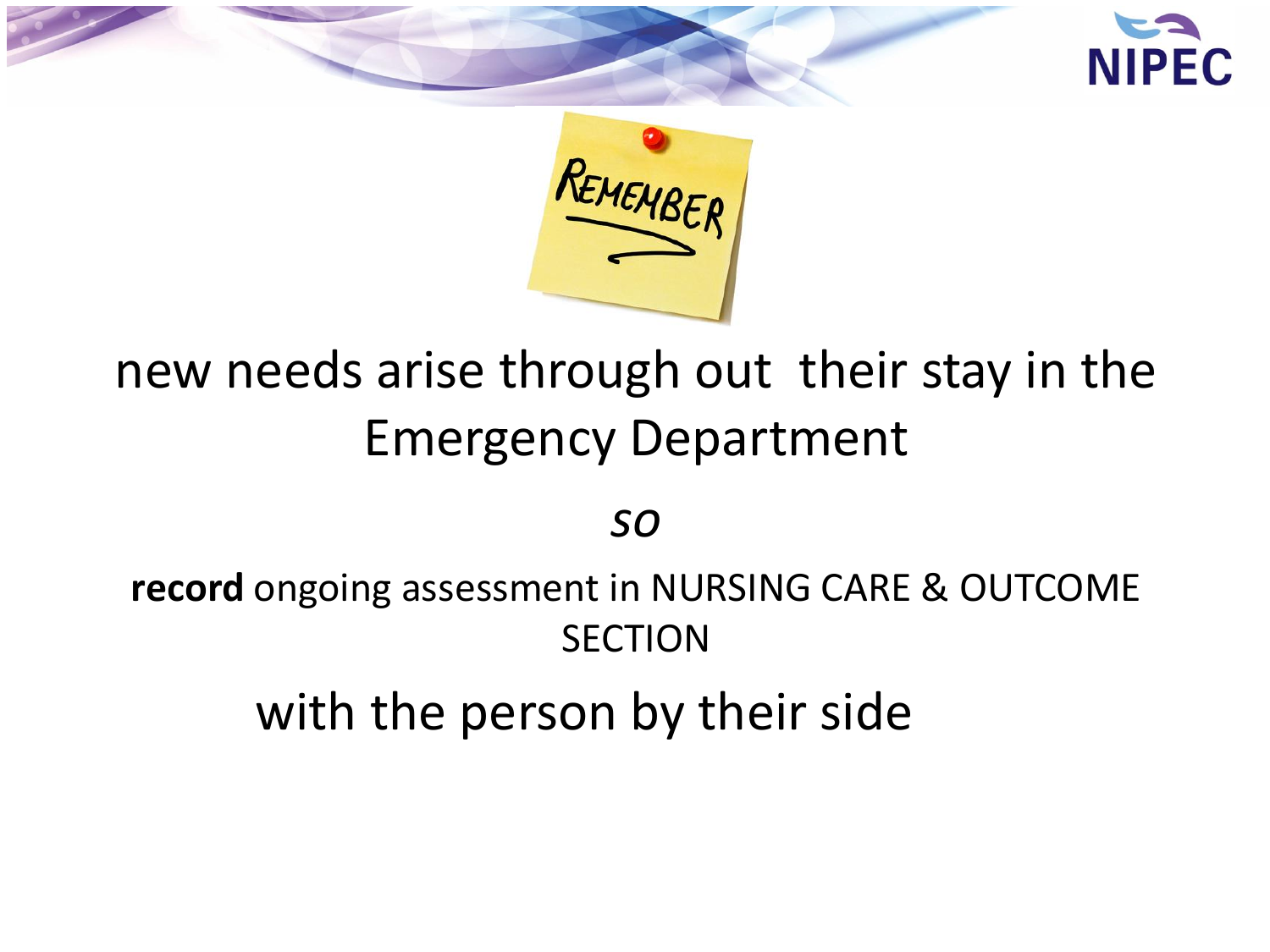



### new needs arise through out their stay in the Emergency Department

*so* 

**record** ongoing assessment in NURSING CARE & OUTCOME **SECTION** 

with the person by their side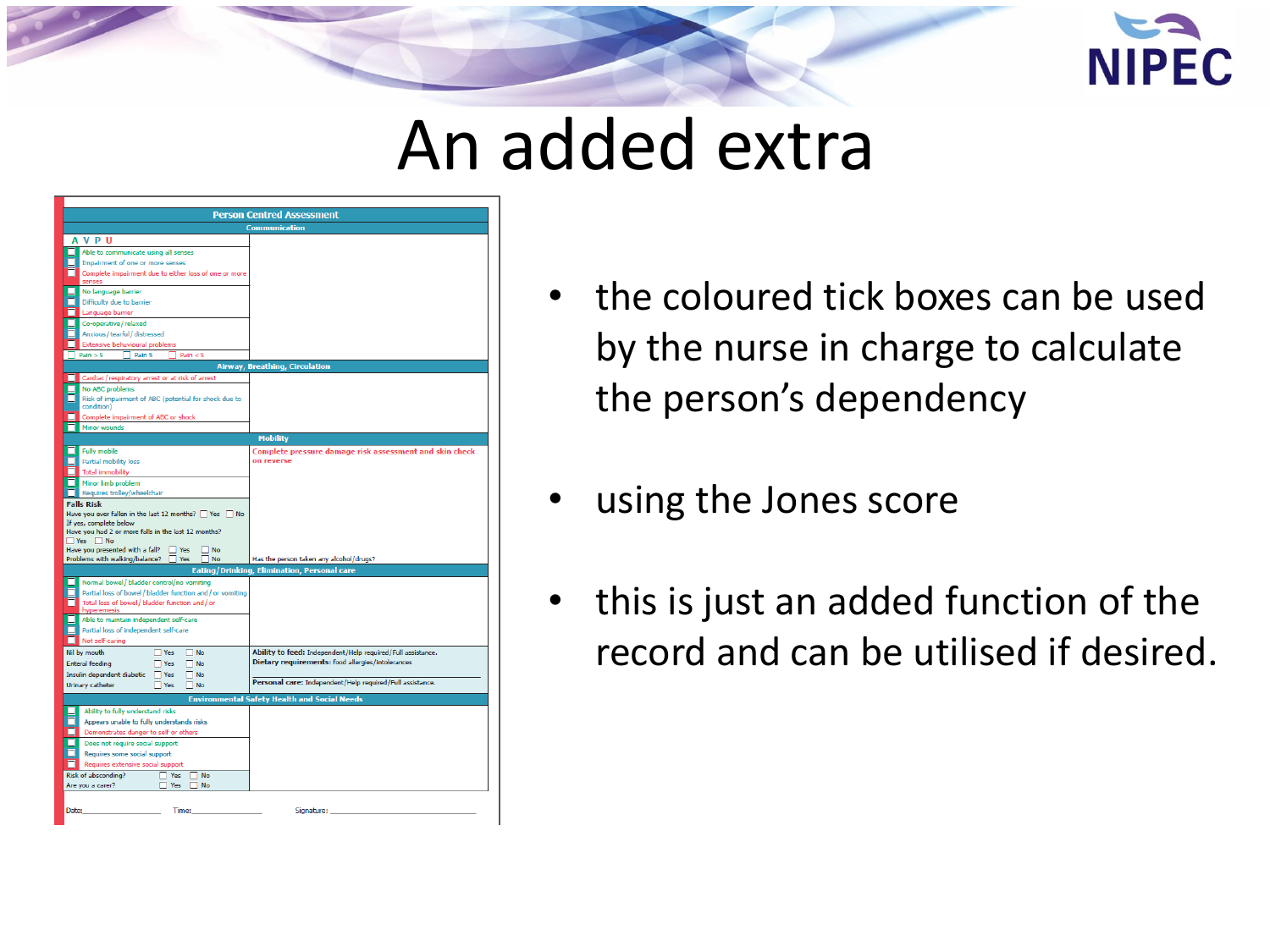

### An added extra

| <b>Person Centred Assessment</b>                                          |                                                                                                                  |  |  |  |
|---------------------------------------------------------------------------|------------------------------------------------------------------------------------------------------------------|--|--|--|
| <b>Communication</b>                                                      |                                                                                                                  |  |  |  |
| <b>AVPU</b>                                                               |                                                                                                                  |  |  |  |
| Able to communicate using all senses                                      |                                                                                                                  |  |  |  |
| Impairment of one or more senses                                          |                                                                                                                  |  |  |  |
| Complete impairment due to either loss of one or more                     |                                                                                                                  |  |  |  |
| senses                                                                    |                                                                                                                  |  |  |  |
| No language barrier                                                       |                                                                                                                  |  |  |  |
| Difficulty due to barrier                                                 |                                                                                                                  |  |  |  |
| Language barrier                                                          |                                                                                                                  |  |  |  |
| Co-operative / relaxed                                                    |                                                                                                                  |  |  |  |
| Anxious / tearful / distressed<br><b>Extensive behavioural problems</b>   |                                                                                                                  |  |  |  |
| Pain > 5<br>$\Box$ Pain 5<br>Pain < 5                                     |                                                                                                                  |  |  |  |
|                                                                           |                                                                                                                  |  |  |  |
|                                                                           | <b>Airway, Breathing, Circulation</b>                                                                            |  |  |  |
| Cardiac/respiratory arrest or at risk of arrest<br><b>No ABC problems</b> |                                                                                                                  |  |  |  |
| Risk of impairment of ABC (potential for shock due to                     |                                                                                                                  |  |  |  |
| condition)                                                                |                                                                                                                  |  |  |  |
| Complete impairment of ABC or shock                                       |                                                                                                                  |  |  |  |
| Minor wounds                                                              |                                                                                                                  |  |  |  |
|                                                                           | <b>Mobility</b>                                                                                                  |  |  |  |
| <b>Fully mobile</b>                                                       | Complete pressure damage risk assessment and skin check                                                          |  |  |  |
| <b>Partial mobility loss</b>                                              | on reverse                                                                                                       |  |  |  |
| <b>Total immobility</b>                                                   |                                                                                                                  |  |  |  |
| Minor limb problem                                                        |                                                                                                                  |  |  |  |
| Requires trolley/wheelchair                                               |                                                                                                                  |  |  |  |
| <b>Falls Risk</b>                                                         |                                                                                                                  |  |  |  |
| Have you ever fallen in the last 12 months?   Yes   No                    |                                                                                                                  |  |  |  |
| If yes, complete below                                                    |                                                                                                                  |  |  |  |
| Have you had 2 or more falls in the last 12 months?<br>$Yes$ No           |                                                                                                                  |  |  |  |
| Have you presented with a fall?<br>$\Box$ Yes<br>7 No                     |                                                                                                                  |  |  |  |
| Problems with walking/balance?<br>Yes<br>1 No                             | Has the person taken any alcohol/drugs?                                                                          |  |  |  |
|                                                                           | Eating/Drinking, Elimination, Personal care                                                                      |  |  |  |
| Normal bowel / bladder control/no vomiting                                |                                                                                                                  |  |  |  |
| Partial loss of bowel/bladder function and/or vomiting                    |                                                                                                                  |  |  |  |
| Total loss of bowel / bladder function and / or                           |                                                                                                                  |  |  |  |
| hyperemesis                                                               |                                                                                                                  |  |  |  |
| Able to maintain independent self-care                                    |                                                                                                                  |  |  |  |
| Partial loss of independent self-care<br>Not self-caring                  |                                                                                                                  |  |  |  |
|                                                                           |                                                                                                                  |  |  |  |
| $\Box$ Yes<br>Nil by mouth<br>$\Box$ No                                   | Ability to feed: Independent/Help required/Full assistance.<br>Dietary requirements: food allergies/intolerances |  |  |  |
| <b>Enteral feeding</b><br>$\Box$ Yes<br>$\Box$ No                         |                                                                                                                  |  |  |  |
| Insulin dependent diabetic<br>$\Box$ Yes<br>$\Box$ No                     | Personal care: Independent/Help required/Full assistance.                                                        |  |  |  |
| Urinary catheter<br>$\Box$ Yes<br>$\square$ No                            |                                                                                                                  |  |  |  |
| <b>Environmental Safety Health and Social Needs</b>                       |                                                                                                                  |  |  |  |
| Ability to fully understand risks                                         |                                                                                                                  |  |  |  |
| Appears unable to fully understands risks                                 |                                                                                                                  |  |  |  |
| Demonstrates danger to self or others                                     |                                                                                                                  |  |  |  |
| Does not require social support                                           |                                                                                                                  |  |  |  |
| Requires some social support                                              |                                                                                                                  |  |  |  |
| Requires extensive social support                                         |                                                                                                                  |  |  |  |
| Risk of absconding?<br>Yes<br><b>No</b><br>п                              |                                                                                                                  |  |  |  |
| Are you a carer?<br>$\Box$ No<br>Yes                                      |                                                                                                                  |  |  |  |
|                                                                           |                                                                                                                  |  |  |  |
| Date:<br>Time:                                                            | Signature:                                                                                                       |  |  |  |
|                                                                           |                                                                                                                  |  |  |  |

- the coloured tick boxes can be used by the nurse in charge to calculate the person's dependency
- using the Jones score
- this is just an added function of the record and can be utilised if desired.